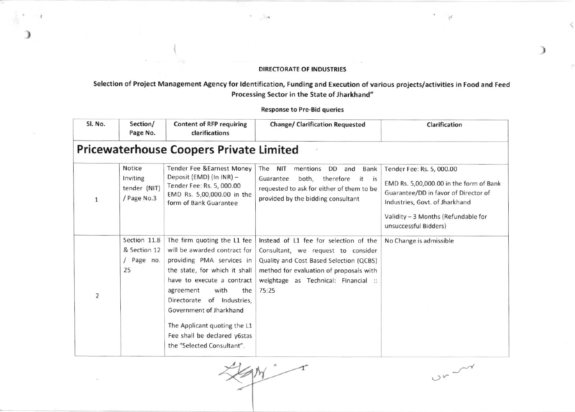## **DIRECTORATE OF INDUSTRIES**

 $\alpha$  $114$ 

## Selection of Project Management Agency for Identification, Funding and Execution of various projects/activities in Food and Feed Processing Sector in the State of Jharkhand"

**Response to Pre-Bid queries** 

| SI. No.        | Section/<br>Page No.                              | <b>Content of RFP requiring</b><br>clarifications                                                                                                                                                                                                                                                                                             | <b>Change/ Clarification Requested</b>                                                                                                                                                                              | Clarification                                                                                                                                                                                                  |
|----------------|---------------------------------------------------|-----------------------------------------------------------------------------------------------------------------------------------------------------------------------------------------------------------------------------------------------------------------------------------------------------------------------------------------------|---------------------------------------------------------------------------------------------------------------------------------------------------------------------------------------------------------------------|----------------------------------------------------------------------------------------------------------------------------------------------------------------------------------------------------------------|
|                |                                                   | <b>Pricewaterhouse Coopers Private Limited</b>                                                                                                                                                                                                                                                                                                |                                                                                                                                                                                                                     |                                                                                                                                                                                                                |
| 1              | Notice<br>Inviting<br>tender (NIT)<br>/ Page No.3 | Tender Fee & Earnest Money<br>Deposit (EMD) (In INR) -<br>Tender Fee: Rs. 5, 000.00<br>EMD Rs. 5,00,000.00 in the<br>form of Bank Guarantee                                                                                                                                                                                                   | The<br><b>NIT</b><br>mentions<br>Bank<br>DD.<br>and<br>both, therefore<br>Guarantee<br>it is<br>requested to ask for either of them to be<br>provided by the bidding consultant                                     | Tender Fee: Rs. 5, 000.00<br>EMD Rs. 5,00,000.00 in the form of Bank<br>Guarantee/DD in favor of Director of<br>Industries, Govt. of Jharkhand<br>Validity - 3 Months (Refundable for<br>unsuccessful Bidders) |
| $\overline{2}$ | Section 11.8<br>& Section 12<br>/ Page no.<br>25  | The firm quoting the L1 fee<br>will be awarded contract for<br>providing PMA services in<br>the state, for which it shall<br>have to execute a contract<br>agreement<br>with<br>the<br>Directorate<br>of Industries,<br>Government of Jharkhand<br>The Applicant quoting the L1<br>Fee shall be declared y6stas<br>the "Selected Consultant". | Instead of L1 fee for selection of the<br>Consultant, we request to consider<br>Quality and Cost Based Selection (QCBS)<br>method for evaluation of proposals with<br>weightage as Technical: Financial ::<br>75:25 | No Change is admissible                                                                                                                                                                                        |

HM  $\mathbf{f}$ 

 $U_{\nu}$ 

 $\alpha$ 

 $\mathbb N$ 

€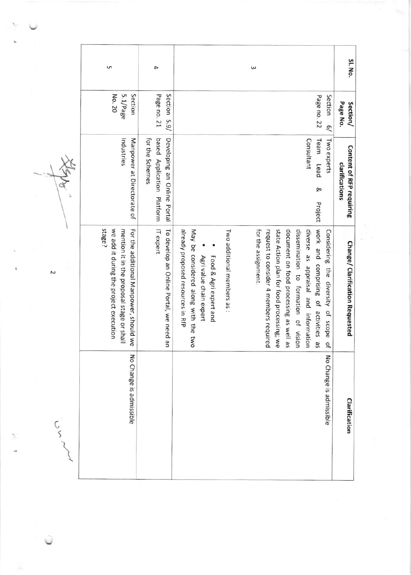| S                                                                                                                                       | 4                                                                            |                                                                                                                                |                            | ω                                                             |                                                                                                                             |                                      |                                                                                           | SI. No.                                           |
|-----------------------------------------------------------------------------------------------------------------------------------------|------------------------------------------------------------------------------|--------------------------------------------------------------------------------------------------------------------------------|----------------------------|---------------------------------------------------------------|-----------------------------------------------------------------------------------------------------------------------------|--------------------------------------|-------------------------------------------------------------------------------------------|---------------------------------------------------|
| Section<br>No. 20<br>5.1/Page                                                                                                           | Section 5.9/<br>Page no. 21                                                  |                                                                                                                                |                            |                                                               |                                                                                                                             |                                      | Page no. 22<br>Section<br>$\overline{6}$                                                  | Page No.<br>Section/                              |
| Manpower at Directorate of<br>Industries                                                                                                | based Application Platform<br>Developing an Online Portal<br>for the Schemes |                                                                                                                                |                            |                                                               |                                                                                                                             | Consultant                           | Team<br>Two experts<br>Lead<br>Q,<br>Project                                              | <b>Content of RFP requiring</b><br>clarifications |
| stage?<br>we add it during the project execution<br>For the additional Manpower, should we<br>mention it in the proposal stage or shall | IT expert<br>To develop an Online Portal, we need an                         | already proposed resources in RfP<br>May be considered along with the two<br>Food & Agri expert and<br>Agri value chain expert | Two additional members as: | for the assignment.<br>request to consider 4 members required | state Action plan for food processing; we<br>document on food processing as well as<br>dissemination to formation of vision | diverse as appraisal and information | work and comprising of activities<br>Considering the diversity of scope<br><b>as</b><br>우 | <b>Change/ Clarification Requested</b>            |
| No Change is admissible                                                                                                                 |                                                                              |                                                                                                                                |                            |                                                               |                                                                                                                             |                                      | No Change is admissible                                                                   | <b>Clarification</b>                              |

after

Z

 $S$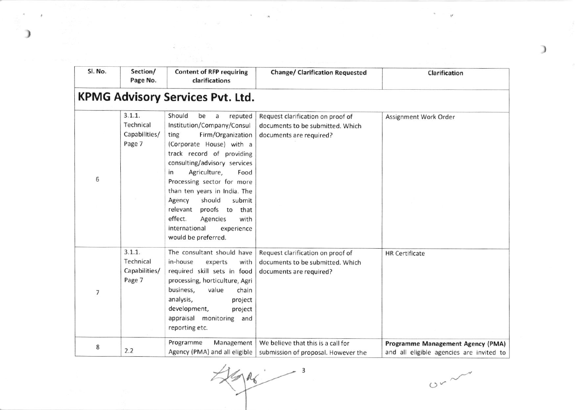| Sl. No. | Section/<br>Page No.                           | <b>Content of RFP requiring</b><br>clarifications                                                                                                                                                                                                                                                                                                                                                                             | <b>Change/ Clarification Requested</b>                                                           | Clarification                                                                 |
|---------|------------------------------------------------|-------------------------------------------------------------------------------------------------------------------------------------------------------------------------------------------------------------------------------------------------------------------------------------------------------------------------------------------------------------------------------------------------------------------------------|--------------------------------------------------------------------------------------------------|-------------------------------------------------------------------------------|
|         |                                                | <b>KPMG Advisory Services Pvt. Ltd.</b>                                                                                                                                                                                                                                                                                                                                                                                       |                                                                                                  |                                                                               |
| 6       | 3.1.1.<br>Technical<br>Capabilities/<br>Page 7 | Should<br>be<br>reputed<br>a<br>Institution/Company/Consul<br>Firm/Organization<br>ting<br>(Corporate House) with a<br>track record of providing<br>consulting/advisory services<br>Agriculture,<br>in<br>Food<br>Processing sector for more<br>than ten years in India. The<br>should<br>submit<br>Agency<br>relevant<br>proofs to that<br>effect.<br>with<br>Agencies<br>international<br>experience<br>would be preferred. | Request clarification on proof of<br>documents to be submitted. Which<br>documents are required? | Assignment Work Order                                                         |
| 7       | 3.1.1.<br>Technical<br>Capabilities/<br>Page 7 | The consultant should have<br>in-house<br>experts<br>with<br>required skill sets in food<br>processing, horticulture, Agri<br>business,<br>value<br>chain<br>analysis,<br>project<br>development,<br>project<br>appraisal monitoring and<br>reporting etc.                                                                                                                                                                    | Request clarification on proof of<br>documents to be submitted. Which<br>documents are required? | <b>HR</b> Certificate                                                         |
| 8       | 2.2                                            | Programme<br>Management<br>Agency (PMA) and all eligible                                                                                                                                                                                                                                                                                                                                                                      | We believe that this is a call for<br>submission of proposal. However the                        | Programme Management Agency (PMA)<br>and all eligible agencies are invited to |

 $\frac{3}{2}$  $k$  or  $\sim$  3

 $\sim$   $\sim$   $\sim$   $\sim$   $\sim$   $\sim$ 

 $\mathbb{R}^n \times \mathbb{R}^n$  .

)

 $\gamma$  ,  $\gamma$ 

 $\tau = -\mu$ 

)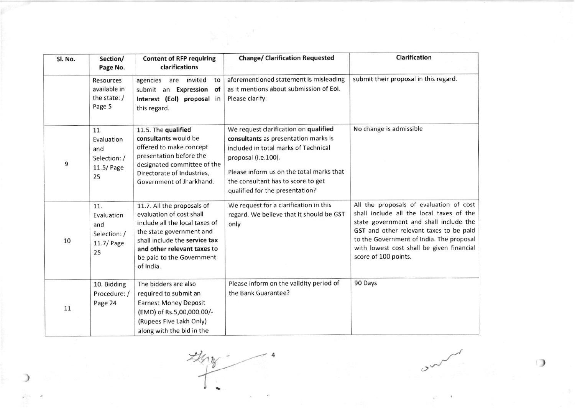| Sl. No. | Section/<br>Page No.                                         | <b>Content of RFP requiring</b><br>clarifications                                                                                                                                                                              | <b>Change/ Clarification Requested</b>                                                                                                                                                                                                                            | <b>Clarification</b>                                                                                                                                                                                                                                                                      |
|---------|--------------------------------------------------------------|--------------------------------------------------------------------------------------------------------------------------------------------------------------------------------------------------------------------------------|-------------------------------------------------------------------------------------------------------------------------------------------------------------------------------------------------------------------------------------------------------------------|-------------------------------------------------------------------------------------------------------------------------------------------------------------------------------------------------------------------------------------------------------------------------------------------|
|         | Resources<br>available in<br>the state:/<br>Page 5           | agencies<br>invited<br>are<br>to<br>submit an Expression<br>of<br>Interest (Eol) proposal in<br>this regard.                                                                                                                   | aforementioned statement is misleading<br>as it mentions about submission of Eol.<br>Please clarify.                                                                                                                                                              | submit their proposal in this regard.                                                                                                                                                                                                                                                     |
| 9       | 11.<br>Evaluation<br>and<br>Selection: /<br>11.5/ Page<br>25 | 11.5. The qualified<br>consultants would be<br>offered to make concept<br>presentation before the<br>designated committee of the<br>Directorate of Industries,<br>Government of Jharkhand.                                     | We request clarification on qualified<br>consultants as presentation marks is<br>included in total marks of Technical<br>proposal (i.e.100).<br>Please inform us on the total marks that<br>the consultant has to score to get<br>qualified for the presentation? | No change is admissible                                                                                                                                                                                                                                                                   |
| 10      | 11.<br>Evaluation<br>and<br>Selection: /<br>11.7/ Page<br>25 | 11.7. All the proposals of<br>evaluation of cost shall<br>include all the local taxes of<br>the state government and<br>shall include the service tax<br>and other relevant taxes to<br>be paid to the Government<br>of India. | We request for a clarification in this<br>regard. We believe that it should be GST<br>only                                                                                                                                                                        | All the proposals of evaluation of cost<br>shall include all the local taxes of the<br>state government and shall include the<br>GST and other relevant taxes to be paid<br>to the Government of India. The proposal<br>with lowest cost shall be given financial<br>score of 100 points. |
| 11      | 10. Bidding<br>Procedure: /<br>Page 24                       | The bidders are also<br>required to submit an<br><b>Earnest Money Deposit</b><br>(EMD) of Rs.5,00,000.00/-<br>(Rupees Five Lakh Only)<br>along with the bid in the                                                             | Please inform on the validity period of<br>the Bank Guarantee?                                                                                                                                                                                                    | 90 Days                                                                                                                                                                                                                                                                                   |

 $\mathcal{Z}$ 

)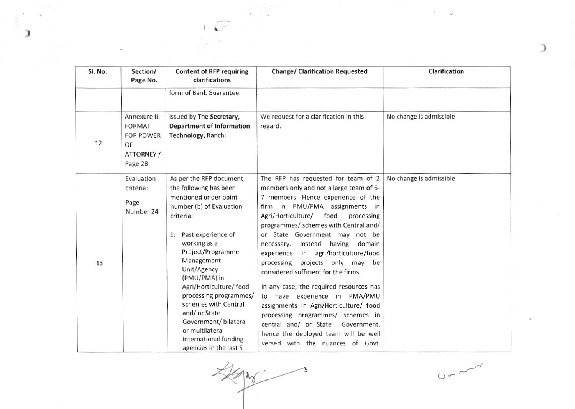| Sl. No. | Section/<br>Page No.                                                             | <b>Content of RFP requiring</b><br>clarifications                                                                                                                                                                                                                                                                                                                                                                           | <b>Change/ Clarification Requested</b>                                                                                                                                                                                                                                                                                                                                                                                                                                                                                                                                                                                                                                                                                         | Clarification           |
|---------|----------------------------------------------------------------------------------|-----------------------------------------------------------------------------------------------------------------------------------------------------------------------------------------------------------------------------------------------------------------------------------------------------------------------------------------------------------------------------------------------------------------------------|--------------------------------------------------------------------------------------------------------------------------------------------------------------------------------------------------------------------------------------------------------------------------------------------------------------------------------------------------------------------------------------------------------------------------------------------------------------------------------------------------------------------------------------------------------------------------------------------------------------------------------------------------------------------------------------------------------------------------------|-------------------------|
|         |                                                                                  | form of Bank Guarantee.                                                                                                                                                                                                                                                                                                                                                                                                     |                                                                                                                                                                                                                                                                                                                                                                                                                                                                                                                                                                                                                                                                                                                                |                         |
| 12      | Annexure II:<br><b>FORMAT</b><br><b>FOR POWER</b><br>OF<br>ATTORNEY /<br>Page 28 | issued by The Secretary,<br><b>Department of Information</b><br>Technology, Ranchi                                                                                                                                                                                                                                                                                                                                          | We request for a clarification in this<br>regard.                                                                                                                                                                                                                                                                                                                                                                                                                                                                                                                                                                                                                                                                              | No change is admissible |
| 13      | Evaluation<br>criteria:<br>Page<br>Number 24                                     | As per the RFP document,<br>the following has been<br>mentioned under point<br>number (b) of Evaluation<br>criteria:<br>1. Past experience of<br>working as a<br>Project/Programme<br>Management<br>Unit/Agency<br>(PMU/PMA) in<br>Agri/Horticulture/ food<br>processing programmes/<br>schemes with Central<br>and/or State<br>Government/ bilateral<br>or multilateral<br>international funding<br>agencies in the last 5 | The RFP has requested for team of $2$<br>members only and not a large team of 6-<br>7 members. Hence experience of the<br>firm in PMU/PMA assignments in<br>Agri/Horticulture/<br>food<br>processing<br>programmes/ schemes with Central and/<br>or State Government may not be<br>Instead having<br>domain<br>necessary.<br>in agri/horticulture/food<br>experience<br>processing projects only may be<br>considered sufficient for the firms.<br>In any case, the required resources has<br>to have experience in PMA/PMU<br>assignments in Agri/Horticulture/ food<br>processing programmes/ schemes in<br>central and/ or State<br>Government,<br>hence the deployed team will be well<br>versed with the nuances of Govt. | No change is admissible |

 $\begin{split} \frac{1}{\sqrt{2}}\sum_{\substack{1\leq i\leq n\\ (i,j)\neq j}}\frac{1}{\sqrt{2}}\sum_{\substack{1\leq i\leq n\\ (i,j)\neq j}}\frac{1}{\sqrt{2}}\sum_{\substack{1\leq i\leq n\\ (i,j)\neq j}}\frac{1}{\sqrt{2}}\sum_{\substack{1\leq i\leq n\\ (i,j)\neq j}}\frac{1}{\sqrt{2}}\sum_{\substack{1\leq i\leq n\\ (i,j)\neq j}}\frac{1}{\sqrt{2}}\sum_{\substack{1\leq i\leq n\\ (i,j)\neq j}}\frac{1}{$ 

 $t \in \sqrt{\mathcal{P}}$ 

 $\lambda$ 

 $\mathbf{I}$ 

KAN 3

 $0 - 1$ 

 $\mathcal{H}$ 

ü